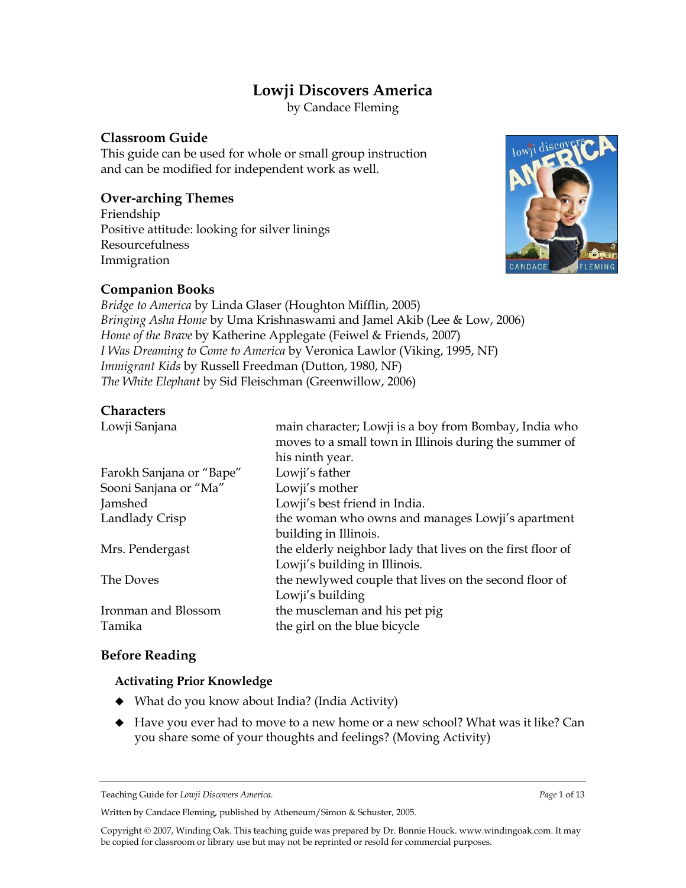## **Lowji Discovers America**

by Candace Fleming

### **Classroom Guide**

This guide can be used for whole or small group instruction and can be modified for independent work as well.

### **Over-arching Themes**

Friendship Positive attitude: looking for silver linings Resourcefulness Immigration



## **Companion Books**

*Bridge to America* by Linda Glaser (Houghton Mifflin, 2005) *Bringing Asha Home* by Uma Krishnaswami and Jamel Akib (Lee & Low, 2006) *Home of the Brave* by Katherine Applegate (Feiwel & Friends, 2007) *I Was Dreaming to Come to America* by Veronica Lawlor (Viking, 1995, NF) *Immigrant Kids* by Russell Freedman (Dutton, 1980, NF) *The White Elephant* by Sid Fleischman (Greenwillow, 2006)

#### **Characters**

| main character; Lowji is a boy from Bombay, India who<br>moves to a small town in Illinois during the summer of<br>his ninth year. |
|------------------------------------------------------------------------------------------------------------------------------------|
| Lowji's father                                                                                                                     |
| Lowji's mother                                                                                                                     |
| Lowji's best friend in India.                                                                                                      |
| the woman who owns and manages Lowji's apartment                                                                                   |
| building in Illinois.                                                                                                              |
| the elderly neighbor lady that lives on the first floor of                                                                         |
| Lowji's building in Illinois.                                                                                                      |
| the newlywed couple that lives on the second floor of                                                                              |
| Lowji's building                                                                                                                   |
| the muscleman and his pet pig                                                                                                      |
| the girl on the blue bicycle                                                                                                       |
|                                                                                                                                    |

#### **Before Reading**

#### **Activating Prior Knowledge**

- ◆ What do you know about India? (India Activity)
- Have you ever had to move to a new home or a new school? What was it like? Can you share some of your thoughts and feelings? (Moving Activity)

Written by Candace Fleming, published by Atheneum/Simon & Schuster, 2005.

Teaching Guide for *Lowji Discovers America. Page* 1 of 13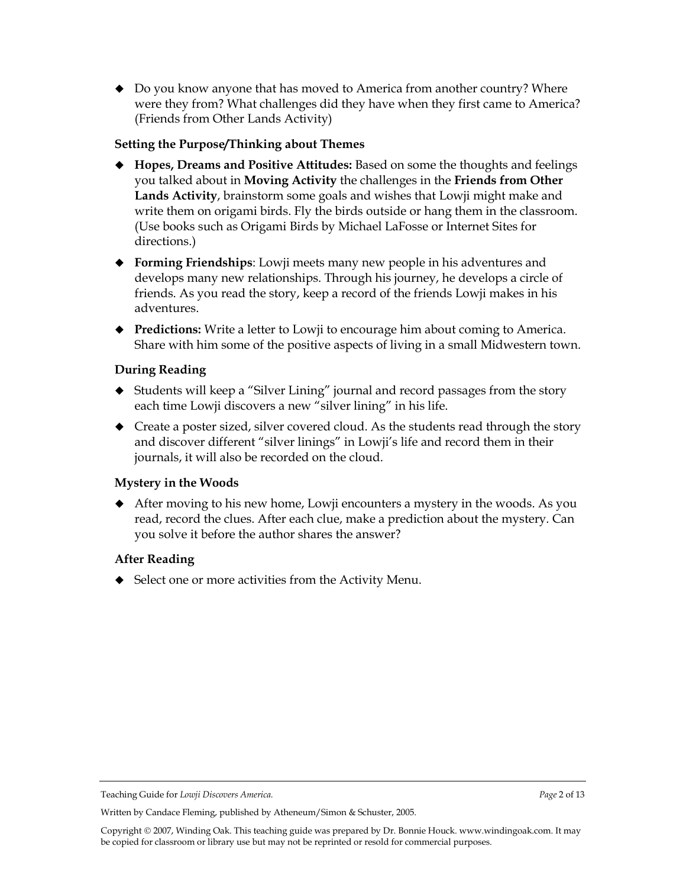◆ Do you know anyone that has moved to America from another country? Where were they from? What challenges did they have when they first came to America? (Friends from Other Lands Activity)

#### **Setting the Purpose/Thinking about Themes**

- **Hopes, Dreams and Positive Attitudes:** Based on some the thoughts and feelings you talked about in **Moving Activity** the challenges in the **Friends from Other Lands Activity**, brainstorm some goals and wishes that Lowji might make and write them on origami birds. Fly the birds outside or hang them in the classroom. (Use books such as Origami Birds by Michael LaFosse or Internet Sites for directions.)
- **Forming Friendships**: Lowji meets many new people in his adventures and develops many new relationships. Through his journey, he develops a circle of friends. As you read the story, keep a record of the friends Lowji makes in his adventures.
- **Predictions:** Write a letter to Lowji to encourage him about coming to America. Share with him some of the positive aspects of living in a small Midwestern town.

#### **During Reading**

- Students will keep a "Silver Lining" journal and record passages from the story each time Lowji discovers a new "silver lining" in his life.
- ◆ Create a poster sized, silver covered cloud. As the students read through the story and discover different "silver linings" in Lowji's life and record them in their journals, it will also be recorded on the cloud.

#### **Mystery in the Woods**

 After moving to his new home, Lowji encounters a mystery in the woods. As you read, record the clues. After each clue, make a prediction about the mystery. Can you solve it before the author shares the answer?

#### **After Reading**

◆ Select one or more activities from the Activity Menu.

Teaching Guide for *Lowji Discovers America. Page* 2 of 13

Written by Candace Fleming, published by Atheneum/Simon & Schuster, 2005.

Copyright 2007, Winding Oak. This teaching guide was prepared by Dr. Bonnie Houck[. www.windingoak.com.](http://www.windingoak.com/) It may be copied for classroom or library use but may not be reprinted or resold for commercial purposes.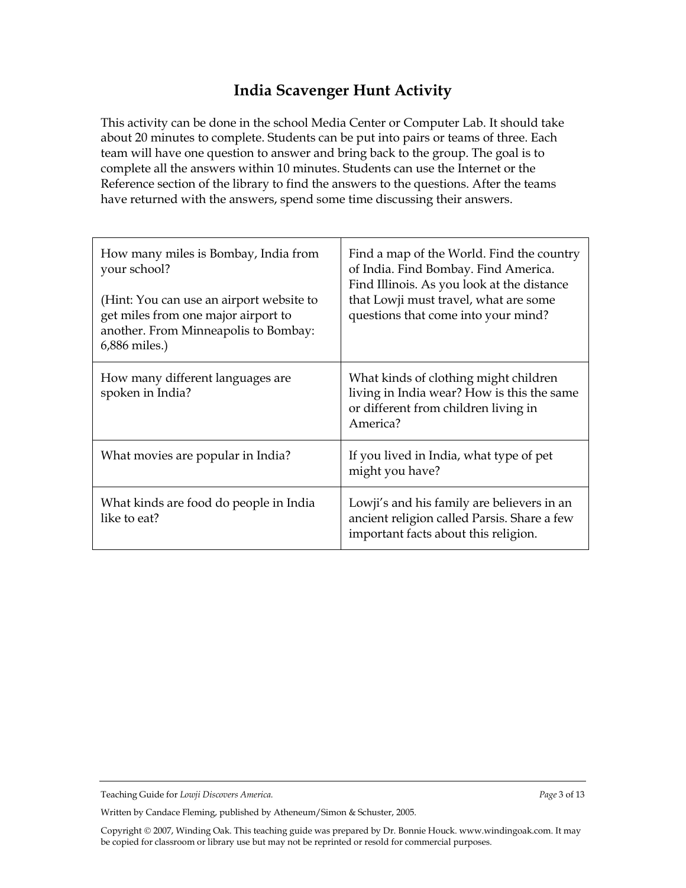## **India Scavenger Hunt Activity**

This activity can be done in the school Media Center or Computer Lab. It should take about 20 minutes to complete. Students can be put into pairs or teams of three. Each team will have one question to answer and bring back to the group. The goal is to complete all the answers within 10 minutes. Students can use the Internet or the Reference section of the library to find the answers to the questions. After the teams have returned with the answers, spend some time discussing their answers.

| How many miles is Bombay, India from<br>your school?<br>(Hint: You can use an airport website to<br>get miles from one major airport to<br>another. From Minneapolis to Bombay:<br>6,886 miles.) | Find a map of the World. Find the country<br>of India. Find Bombay. Find America.<br>Find Illinois. As you look at the distance<br>that Lowji must travel, what are some<br>questions that come into your mind? |
|--------------------------------------------------------------------------------------------------------------------------------------------------------------------------------------------------|-----------------------------------------------------------------------------------------------------------------------------------------------------------------------------------------------------------------|
| How many different languages are<br>spoken in India?                                                                                                                                             | What kinds of clothing might children<br>living in India wear? How is this the same<br>or different from children living in<br>America?                                                                         |
| What movies are popular in India?                                                                                                                                                                | If you lived in India, what type of pet<br>might you have?                                                                                                                                                      |
| What kinds are food do people in India<br>like to eat?                                                                                                                                           | Lowji's and his family are believers in an<br>ancient religion called Parsis. Share a few<br>important facts about this religion.                                                                               |

Written by Candace Fleming, published by Atheneum/Simon & Schuster, 2005.

Teaching Guide for *Lowji Discovers America. Page* 3 of 13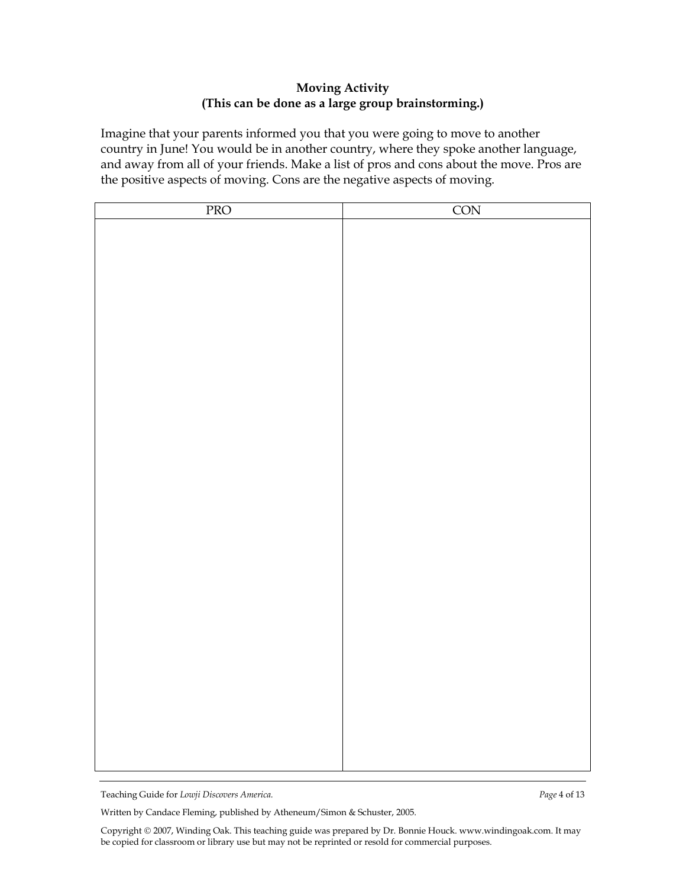#### **Moving Activity (This can be done as a large group brainstorming.)**

Imagine that your parents informed you that you were going to move to another country in June! You would be in another country, where they spoke another language, and away from all of your friends. Make a list of pros and cons about the move. Pros are the positive aspects of moving. Cons are the negative aspects of moving.

| PRO | CON |
|-----|-----|
|     |     |
|     |     |
|     |     |
|     |     |
|     |     |
|     |     |
|     |     |
|     |     |
|     |     |
|     |     |
|     |     |
|     |     |
|     |     |
|     |     |
|     |     |
|     |     |
|     |     |
|     |     |
|     |     |
|     |     |
|     |     |
|     |     |
|     |     |
|     |     |
|     |     |
|     |     |
|     |     |
|     |     |
|     |     |
|     |     |

Teaching Guide for *Lowji Discovers America. Page* 4 of 13

Written by Candace Fleming, published by Atheneum/Simon & Schuster, 2005.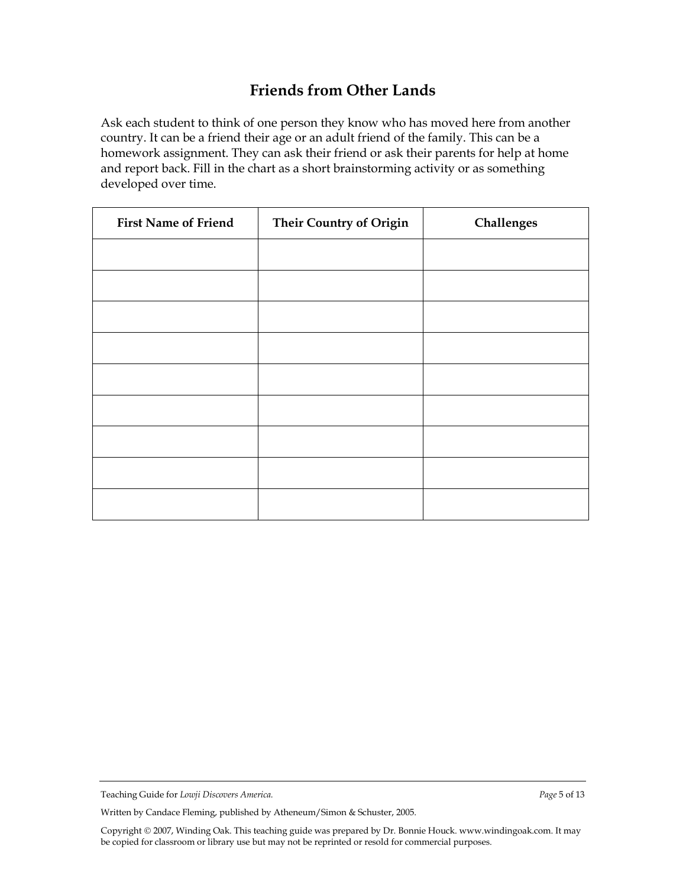## **Friends from Other Lands**

Ask each student to think of one person they know who has moved here from another country. It can be a friend their age or an adult friend of the family. This can be a homework assignment. They can ask their friend or ask their parents for help at home and report back. Fill in the chart as a short brainstorming activity or as something developed over time.

| <b>First Name of Friend</b> | <b>Their Country of Origin</b> | Challenges |
|-----------------------------|--------------------------------|------------|
|                             |                                |            |
|                             |                                |            |
|                             |                                |            |
|                             |                                |            |
|                             |                                |            |
|                             |                                |            |
|                             |                                |            |
|                             |                                |            |
|                             |                                |            |

Written by Candace Fleming, published by Atheneum/Simon & Schuster, 2005.

Teaching Guide for *Lowji Discovers America. Page* 5 of 13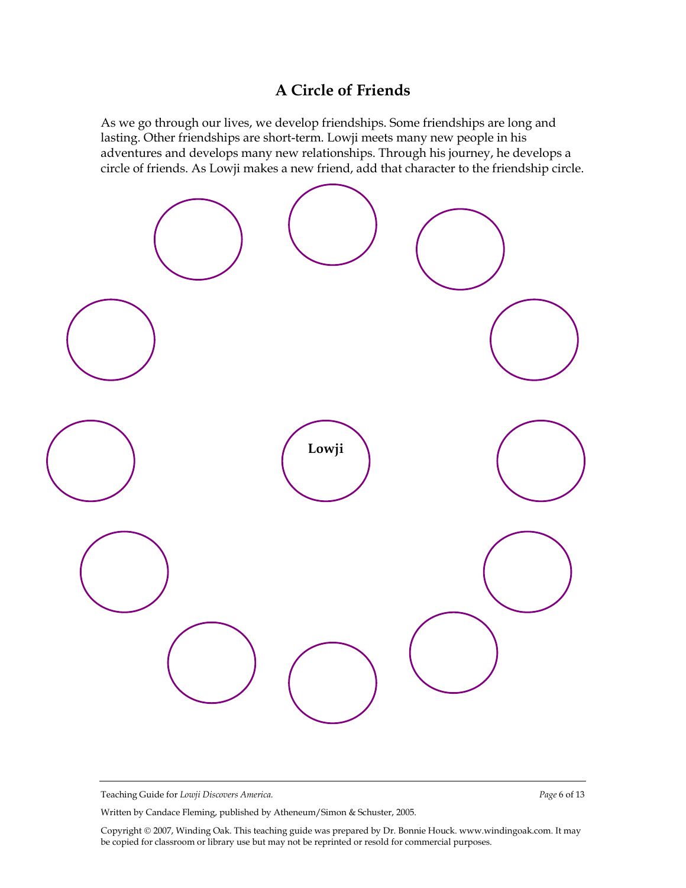## **A Circle of Friends**

As we go through our lives, we develop friendships. Some friendships are long and lasting. Other friendships are short-term. Lowji meets many new people in his adventures and develops many new relationships. Through his journey, he develops a circle of friends. As Lowji makes a new friend, add that character to the friendship circle.



Teaching Guide for *Lowji Discovers America. Page* 6 of 13

Written by Candace Fleming, published by Atheneum/Simon & Schuster, 2005.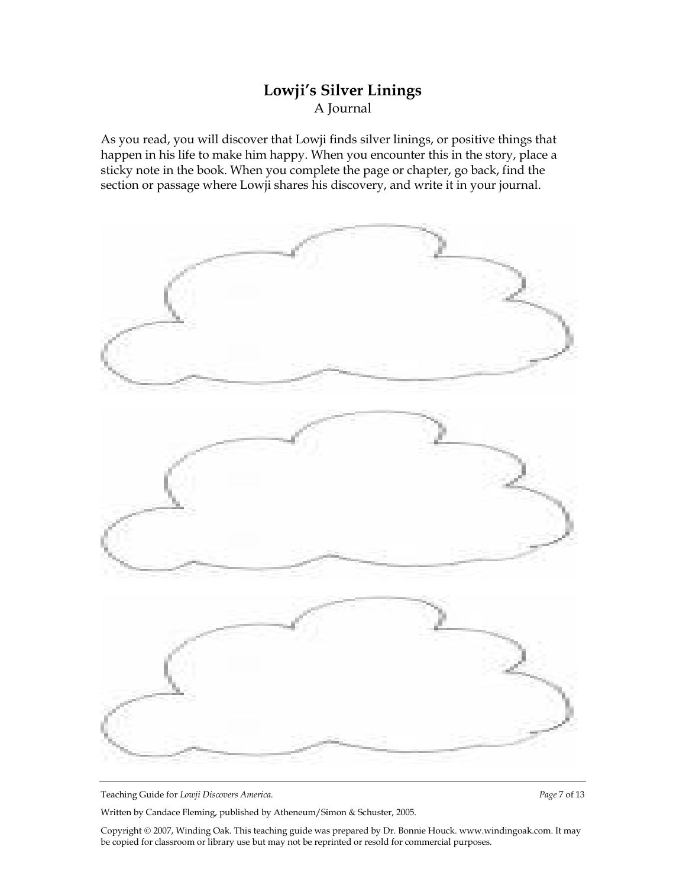## **Lowji's Silver Linings** A Journal

As you read, you will discover that Lowji finds silver linings, or positive things that happen in his life to make him happy. When you encounter this in the story, place a sticky note in the book. When you complete the page or chapter, go back, find the section or passage where Lowji shares his discovery, and write it in your journal.



Teaching Guide for *Lowji Discovers America. Page* 7 of 13

Written by Candace Fleming, published by Atheneum/Simon & Schuster, 2005.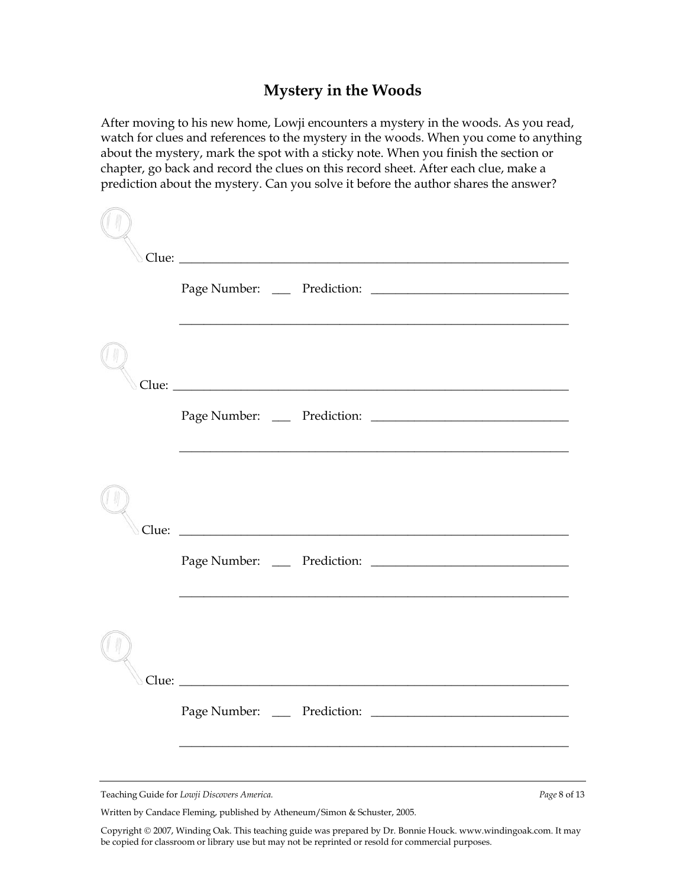## **Mystery in the Woods**

After moving to his new home, Lowji encounters a mystery in the woods. As you read, watch for clues and references to the mystery in the woods. When you come to anything about the mystery, mark the spot with a sticky note. When you finish the section or chapter, go back and record the clues on this record sheet. After each clue, make a prediction about the mystery. Can you solve it before the author shares the answer?

|       |                                                              | ,我们也不能在这里的时候,我们也不能在这里的时候,我们也不能会在这里的时候,我们也不能会在这里的时候,我们也不能会在这里的时候,我们也不能会在这里的时候,我们也  |
|-------|--------------------------------------------------------------|-----------------------------------------------------------------------------------|
| Clue: | <u> 1980 - Jan Alexandria, politikar politikar (h. 1980)</u> |                                                                                   |
|       |                                                              | ,我们也不能在这里的时候,我们也不能在这里的时候,我们也不能会在这里的时候,我们也不能会在这里的时候,我们也不能会在这里的时候,我们也不能会在这里的时候,我们也不 |
|       |                                                              |                                                                                   |
|       | Prediction:<br>Page Number:                                  |                                                                                   |
|       | Teaching Guide for Lowji Discovers America.                  | Page 8 of 13                                                                      |

Written by Candace Fleming, published by Atheneum/Simon & Schuster, 2005.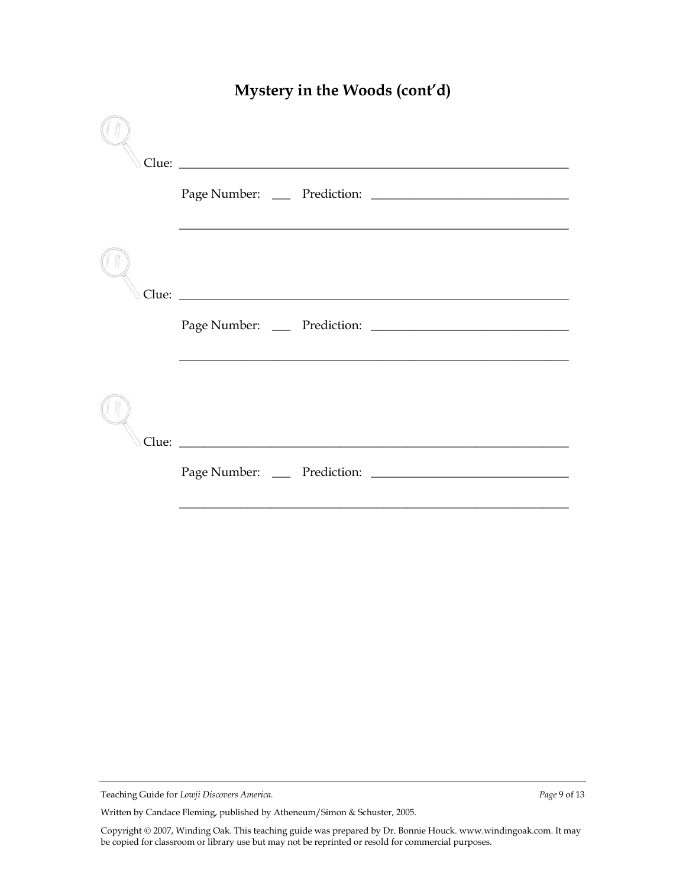| Scotland Changes 2014 and 2015 and 2016 and 2017 and 2018 and 2018 and 2018 and 2018 and 2018 and 2018 and 201 |
|----------------------------------------------------------------------------------------------------------------|
|                                                                                                                |
|                                                                                                                |
|                                                                                                                |
|                                                                                                                |
|                                                                                                                |

# **Mystery in the Woods (cont'd)**

Written by Candace Fleming, published by Atheneum/Simon & Schuster, 2005.

Teaching Guide for *Lowji Discovers America. Page* 9 of 13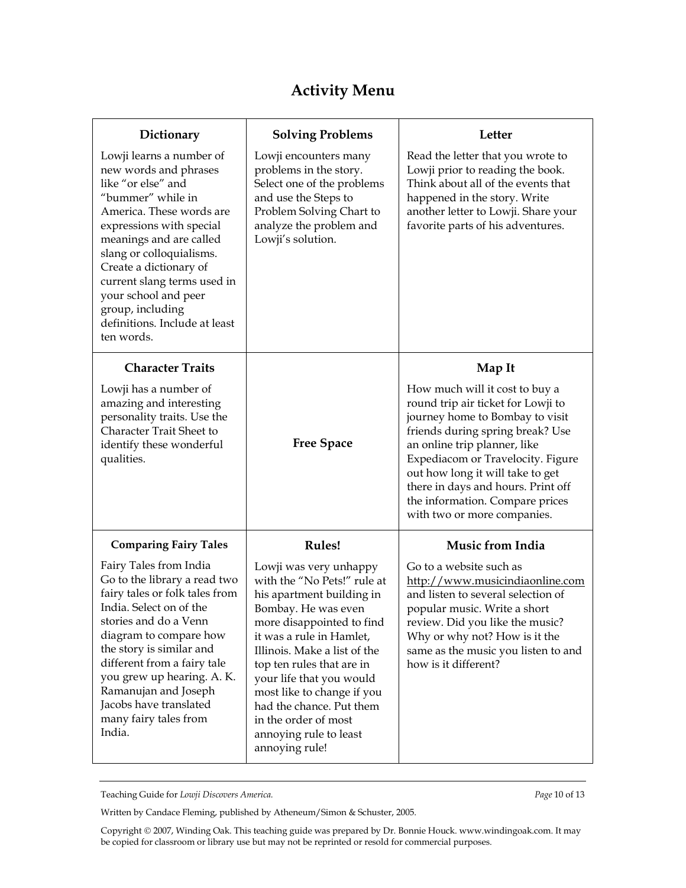# **Activity Menu**

| Dictionary                                                                                                                                                                                                                                                                                                                                                      | <b>Solving Problems</b>                                                                                                                                                                                                                                                                                                                                                                   | Letter                                                                                                                                                                                                                                                                                                                                                       |
|-----------------------------------------------------------------------------------------------------------------------------------------------------------------------------------------------------------------------------------------------------------------------------------------------------------------------------------------------------------------|-------------------------------------------------------------------------------------------------------------------------------------------------------------------------------------------------------------------------------------------------------------------------------------------------------------------------------------------------------------------------------------------|--------------------------------------------------------------------------------------------------------------------------------------------------------------------------------------------------------------------------------------------------------------------------------------------------------------------------------------------------------------|
| Lowji learns a number of<br>new words and phrases<br>like "or else" and<br>"bummer" while in<br>America. These words are<br>expressions with special<br>meanings and are called<br>slang or colloquialisms.<br>Create a dictionary of<br>current slang terms used in<br>your school and peer<br>group, including<br>definitions. Include at least<br>ten words. | Lowji encounters many<br>problems in the story.<br>Select one of the problems<br>and use the Steps to<br>Problem Solving Chart to<br>analyze the problem and<br>Lowji's solution.                                                                                                                                                                                                         | Read the letter that you wrote to<br>Lowji prior to reading the book.<br>Think about all of the events that<br>happened in the story. Write<br>another letter to Lowji. Share your<br>favorite parts of his adventures.                                                                                                                                      |
| <b>Character Traits</b>                                                                                                                                                                                                                                                                                                                                         |                                                                                                                                                                                                                                                                                                                                                                                           | Map It                                                                                                                                                                                                                                                                                                                                                       |
| Lowji has a number of<br>amazing and interesting<br>personality traits. Use the<br>Character Trait Sheet to<br>identify these wonderful<br>qualities.                                                                                                                                                                                                           | <b>Free Space</b>                                                                                                                                                                                                                                                                                                                                                                         | How much will it cost to buy a<br>round trip air ticket for Lowji to<br>journey home to Bombay to visit<br>friends during spring break? Use<br>an online trip planner, like<br>Expediacom or Travelocity. Figure<br>out how long it will take to get<br>there in days and hours. Print off<br>the information. Compare prices<br>with two or more companies. |
| <b>Comparing Fairy Tales</b>                                                                                                                                                                                                                                                                                                                                    | <b>Rules!</b>                                                                                                                                                                                                                                                                                                                                                                             | <b>Music from India</b>                                                                                                                                                                                                                                                                                                                                      |
| Fairy Tales from India<br>Go to the library a read two<br>fairy tales or folk tales from<br>India. Select on of the<br>stories and do a Venn<br>diagram to compare how<br>the story is similar and<br>different from a fairy tale<br>you grew up hearing. A. K.<br>Ramanujan and Joseph<br>Jacobs have translated<br>many fairy tales from<br>India.            | Lowji was very unhappy<br>with the "No Pets!" rule at<br>his apartment building in<br>Bombay. He was even<br>more disappointed to find<br>it was a rule in Hamlet,<br>Illinois. Make a list of the<br>top ten rules that are in<br>your life that you would<br>most like to change if you<br>had the chance. Put them<br>in the order of most<br>annoying rule to least<br>annoying rule! | Go to a website such as<br>http://www.musicindiaonline.com<br>and listen to several selection of<br>popular music. Write a short<br>review. Did you like the music?<br>Why or why not? How is it the<br>same as the music you listen to and<br>how is it different?                                                                                          |

Teaching Guide for *Lowji Discovers America. Page* 10 of 13

Written by Candace Fleming, published by Atheneum/Simon & Schuster, 2005.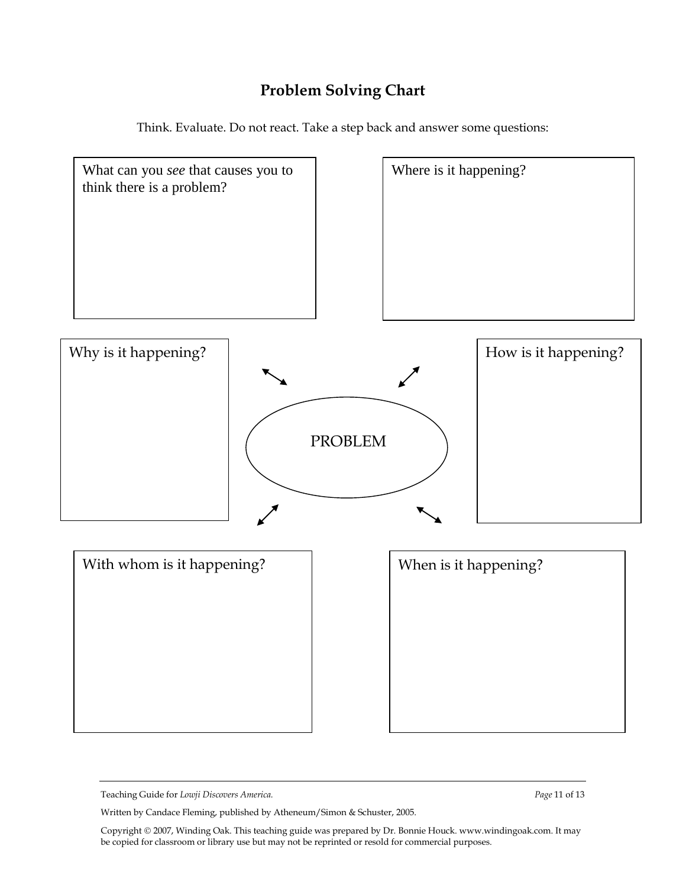# **Problem Solving Chart**

Think. Evaluate. Do not react. Take a step back and answer some questions:



Teaching Guide for *Lowji Discovers America. Page* 11 of 13

Written by Candace Fleming, published by Atheneum/Simon & Schuster, 2005.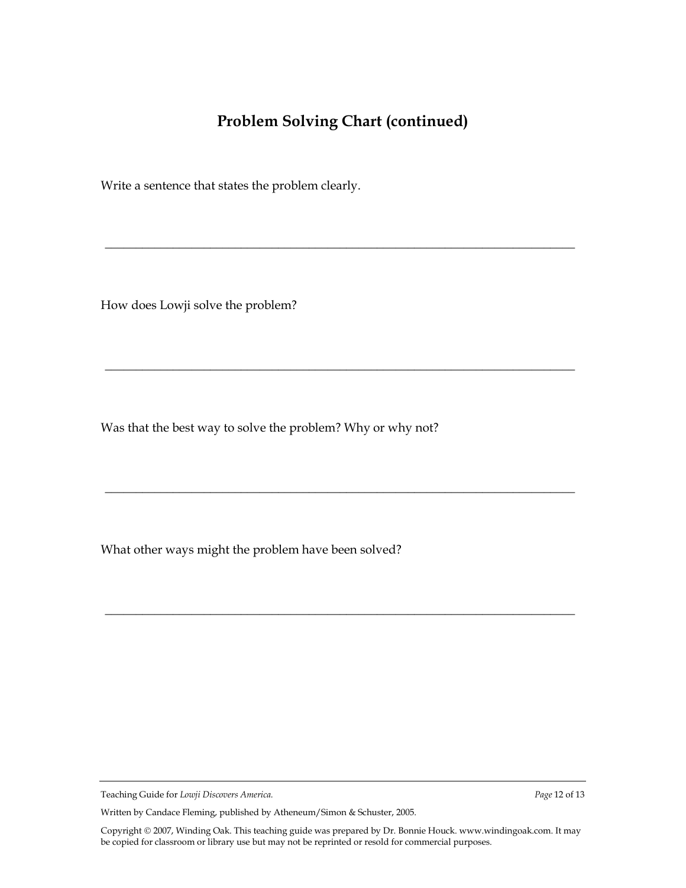# **Problem Solving Chart (continued)**

\_\_\_\_\_\_\_\_\_\_\_\_\_\_\_\_\_\_\_\_\_\_\_\_\_\_\_\_\_\_\_\_\_\_\_\_\_\_\_\_\_\_\_\_\_\_\_\_\_\_\_\_\_\_\_\_\_\_\_\_\_\_\_\_\_\_\_\_\_\_\_\_\_\_\_\_

\_\_\_\_\_\_\_\_\_\_\_\_\_\_\_\_\_\_\_\_\_\_\_\_\_\_\_\_\_\_\_\_\_\_\_\_\_\_\_\_\_\_\_\_\_\_\_\_\_\_\_\_\_\_\_\_\_\_\_\_\_\_\_\_\_\_\_\_\_\_\_\_\_\_\_\_

\_\_\_\_\_\_\_\_\_\_\_\_\_\_\_\_\_\_\_\_\_\_\_\_\_\_\_\_\_\_\_\_\_\_\_\_\_\_\_\_\_\_\_\_\_\_\_\_\_\_\_\_\_\_\_\_\_\_\_\_\_\_\_\_\_\_\_\_\_\_\_\_\_\_\_\_

\_\_\_\_\_\_\_\_\_\_\_\_\_\_\_\_\_\_\_\_\_\_\_\_\_\_\_\_\_\_\_\_\_\_\_\_\_\_\_\_\_\_\_\_\_\_\_\_\_\_\_\_\_\_\_\_\_\_\_\_\_\_\_\_\_\_\_\_\_\_\_\_\_\_\_\_

Write a sentence that states the problem clearly.

How does Lowji solve the problem?

Was that the best way to solve the problem? Why or why not?

What other ways might the problem have been solved?

Teaching Guide for *Lowji Discovers America. Page* 12 of 13

Written by Candace Fleming, published by Atheneum/Simon & Schuster, 2005.